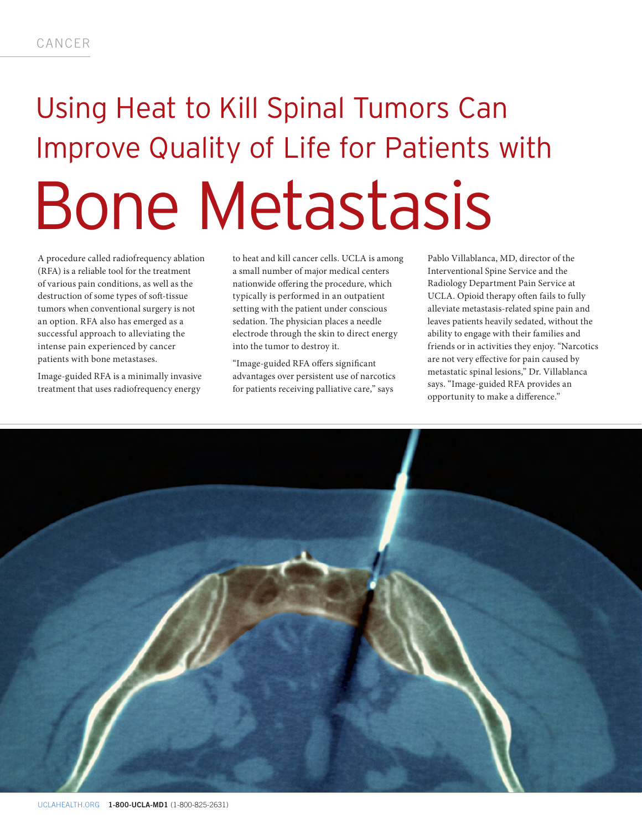## Using Heat to Kill Spinal Tumors Can Improve Quality of Life for Patients with Bone Metastasis

A procedure called radiofrequency ablation (RFA) is a reliable tool for the treatment of various pain conditions, as well as the destruction of some types of soft-tissue tumors when conventional surgery is not an option. RFA also has emerged as a successful approach to alleviating the intense pain experienced by cancer patients with bone metastases.

Image-guided RFA is a minimally invasive treatment that uses radiofrequency energy

to heat and kill cancer cells. UCLA is among a small number of major medical centers nationwide offering the procedure, which typically is performed in an outpatient setting with the patient under conscious sedation. The physician places a needle electrode through the skin to direct energy into the tumor to destroy it.

"Image-guided RFA offers significant advantages over persistent use of narcotics for patients receiving palliative care," says

Pablo Villablanca, MD, director of the Interventional Spine Service and the Radiology Department Pain Service at UCLA. Opioid therapy often fails to fully alleviate metastasis-related spine pain and leaves patients heavily sedated, without the ability to engage with their families and friends or in activities they enjoy. "Narcotics are not very effective for pain caused by metastatic spinal lesions," Dr. Villablanca says. "Image-guided RFA provides an opportunity to make a difference."